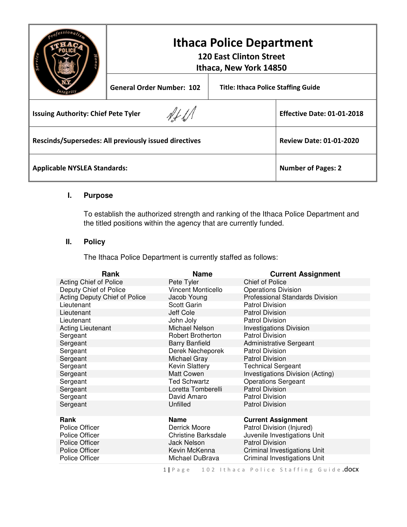|                                                       | <b>Ithaca Police Department</b><br><b>120 East Clinton Street</b><br>Ithaca, New York 14850 |  |                                            |
|-------------------------------------------------------|---------------------------------------------------------------------------------------------|--|--------------------------------------------|
|                                                       | <b>General Order Number: 102</b>                                                            |  | <b>Title: Ithaca Police Staffing Guide</b> |
| <b>Issuing Authority: Chief Pete Tyler</b>            |                                                                                             |  | <b>Effective Date: 01-01-2018</b>          |
| Rescinds/Supersedes: All previously issued directives |                                                                                             |  | <b>Review Date: 01-01-2020</b>             |
| <b>Applicable NYSLEA Standards:</b>                   | <b>Number of Pages: 2</b>                                                                   |  |                                            |

## **I. Purpose**

To establish the authorized strength and ranking of the Ithaca Police Department and the titled positions within the agency that are currently funded.

## **II. Policy**

The Ithaca Police Department is currently staffed as follows:

| Acting Chief of Police<br>Chief of Police<br>Pete Tyler                           |  |
|-----------------------------------------------------------------------------------|--|
| Deputy Chief of Police<br><b>Vincent Monticello</b><br><b>Operations Division</b> |  |
| Acting Deputy Chief of Police<br>Professional Standards Division<br>Jacob Young   |  |
| Lieutenant<br>Scott Garin<br><b>Patrol Division</b>                               |  |
| Jeff Cole<br><b>Patrol Division</b><br>Lieutenant                                 |  |
| John Joly<br><b>Patrol Division</b><br>Lieutenant                                 |  |
| Michael Nelson<br><b>Acting Lieutenant</b><br><b>Investigations Division</b>      |  |
| <b>Patrol Division</b><br>Sergeant<br><b>Robert Brotherton</b>                    |  |
| Sergeant<br><b>Barry Banfield</b><br><b>Administrative Sergeant</b>               |  |
| Derek Necheporek<br><b>Patrol Division</b><br>Sergeant                            |  |
| Michael Gray<br>Sergeant<br><b>Patrol Division</b>                                |  |
| <b>Kevin Slattery</b><br><b>Technical Sergeant</b><br>Sergeant                    |  |
| <b>Matt Cowen</b><br>Investigations Division (Acting)<br>Sergeant                 |  |
| <b>Ted Schwartz</b><br><b>Operations Sergeant</b><br>Sergeant                     |  |
| <b>Patrol Division</b><br>Sergeant<br>Loretta Tomberelli                          |  |
| David Amaro<br><b>Patrol Division</b><br>Sergeant                                 |  |
| <b>Patrol Division</b><br>Sergeant<br>Unfilled                                    |  |
|                                                                                   |  |
| Rank<br><b>Name</b><br><b>Current Assignment</b>                                  |  |
| Patrol Division (Injured)<br>Police Officer<br>Derrick Moore                      |  |
| Juvenile Investigations Unit<br>Police Officer<br><b>Christine Barksdale</b>      |  |
| <b>Patrol Division</b><br>Police Officer<br><b>Jack Nelson</b>                    |  |
| <b>Police Officer</b><br>Kevin McKenna<br>Criminal Investigations Unit            |  |
| <b>Criminal Investigations Unit</b><br>Michael DuBrava<br>Police Officer          |  |

1 | Page 102 Ithaca Police Staffing Guide.docx